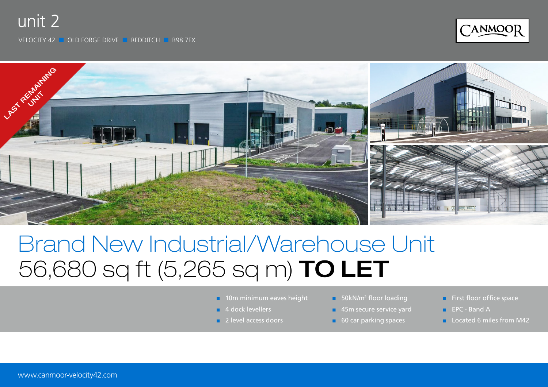## unit 2

VELOCITY 42 ■ OLD FORGE DRIVE ■ REDDITCH ■ B98 7FX





# Brand New Industrial/Warehouse Unit 56,680 sq ft (5,265 sq m) TO LET

- **10m minimum eaves height**
- 4 dock levellers
- 2 level access doors
- 50kN/m<sup>2</sup> floor loading
- 45m secure service yard
- 60 car parking spaces
- First floor office space
- EPC Band A
- **Located 6 miles from M42**